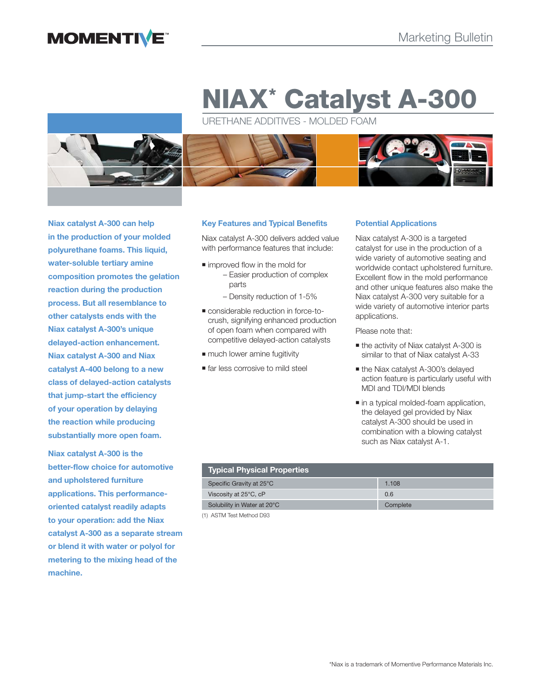# **MOMENTIVE**

# **NIAX\* Catalyst A-300**

URETHANE ADDITIVES - MOLDED FOAM



**Niax catalyst A-300 can help in the production of your molded polyurethane foams. This liquid, water-soluble tertiary amine composition promotes the gelation reaction during the production process. But all resemblance to other catalysts ends with the Niax catalyst A-300's unique delayed-action enhancement. Niax catalyst A-300 and Niax catalyst A-400 belong to a new class of delayed-action catalysts that jump-start the efficiency of your operation by delaying the reaction while producing substantially more open foam.**

**Niax catalyst A-300 is the better-flow choice for automotive and upholstered furniture applications. This performanceoriented catalyst readily adapts to your operation: add the Niax catalyst A-300 as a separate stream or blend it with water or polyol for metering to the mixing head of the machine.**

# **Key Features and Typical Benefits**

Niax catalyst A-300 delivers added value with performance features that include:

- improved flow in the mold for – Easier production of complex parts
	- Density reduction of 1-5%
- considerable reduction in force-tocrush, signifying enhanced production of open foam when compared with competitive delayed-action catalysts
- $\blacksquare$  much lower amine fugitivity
- **far less corrosive to mild steel**

# **Potential Applications**

Niax catalyst A-300 is a targeted catalyst for use in the production of a wide variety of automotive seating and worldwide contact upholstered furniture. Excellent flow in the mold performance and other unique features also make the Niax catalyst A-300 very suitable for a wide variety of automotive interior parts applications.

Please note that:

- the activity of Niax catalyst A-300 is similar to that of Niax catalyst A-33
- the Niax catalyst A-300's delayed action feature is particularly useful with MDI and TDI/MDI blends
- $\blacksquare$  in a typical molded-foam application, the delayed gel provided by Niax catalyst A-300 should be used in combination with a blowing catalyst such as Niax catalyst A-1.

| Typical Physical Properties |          |  |  |
|-----------------------------|----------|--|--|
| Specific Gravity at 25°C    | 1.108    |  |  |
| Viscosity at 25°C, cP       | 0.6      |  |  |
| Solubility in Water at 20°C | Complete |  |  |

(1) ASTM Test Method D93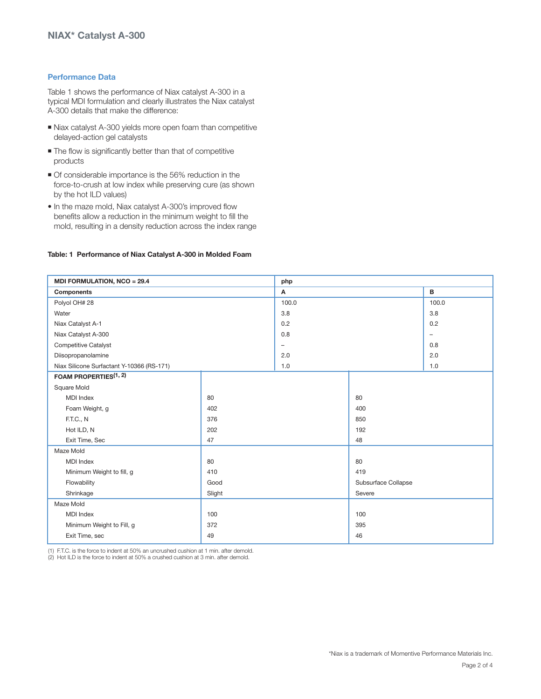# **Performance Data**

Table 1 shows the performance of Niax catalyst A-300 in a typical MDI formulation and clearly illustrates the Niax catalyst A-300 details that make the difference:

- Niax catalyst A-300 yields more open foam than competitive delayed-action gel catalysts
- $\blacksquare$  The flow is significantly better than that of competitive products
- Of considerable importance is the 56% reduction in the force-to-crush at low index while preserving cure (as shown by the hot ILD values)
- In the maze mold, Niax catalyst A-300's improved flow benefits allow a reduction in the minimum weight to fill the mold, resulting in a density reduction across the index range

### **Table: 1 Performance of Niax Catalyst A-300 in Molded Foam**

| MDI FORMULATION, NCO = 29.4               |        | php                      |                     |                          |
|-------------------------------------------|--------|--------------------------|---------------------|--------------------------|
| <b>Components</b>                         |        | A                        |                     | B                        |
| Polyol OH# 28                             |        | 100.0                    |                     | 100.0                    |
| Water                                     |        | 3.8                      |                     | 3.8                      |
| Niax Catalyst A-1                         |        | 0.2                      |                     | 0.2                      |
| Niax Catalyst A-300                       |        | 0.8                      |                     | $\overline{\phantom{0}}$ |
| <b>Competitive Catalyst</b>               |        | $\overline{\phantom{0}}$ |                     | 0.8                      |
| Diisopropanolamine                        |        | 2.0                      |                     | 2.0                      |
| Niax Silicone Surfactant Y-10366 (RS-171) |        | 1.0                      |                     | 1.0                      |
| FOAM PROPERTIES <sup>(1, 2)</sup>         |        |                          |                     |                          |
| Square Mold                               |        |                          |                     |                          |
| <b>MDI</b> Index                          | 80     |                          | 80                  |                          |
| Foam Weight, g                            | 402    |                          | 400                 |                          |
| <b>F.T.C., N</b>                          | 376    |                          | 850                 |                          |
| Hot ILD, N                                | 202    |                          | 192                 |                          |
| Exit Time, Sec                            | 47     |                          | 48                  |                          |
| Maze Mold                                 |        |                          |                     |                          |
| <b>MDI</b> Index                          | 80     |                          | 80                  |                          |
| Minimum Weight to fill, g                 | 410    |                          | 419                 |                          |
| Flowability                               | Good   |                          | Subsurface Collapse |                          |
| Shrinkage                                 | Slight |                          | Severe              |                          |
| Maze Mold                                 |        |                          |                     |                          |
| <b>MDI</b> Index                          | 100    |                          | 100                 |                          |
| Minimum Weight to Fill, g                 | 372    |                          | 395                 |                          |
| Exit Time, sec                            | 49     |                          | 46                  |                          |

(1) F.T.C. is the force to indent at 50% an uncrushed cushion at 1 min. after demold.

(2) Hot ILD is the force to indent at 50% a crushed cushion at 3 min. after demold.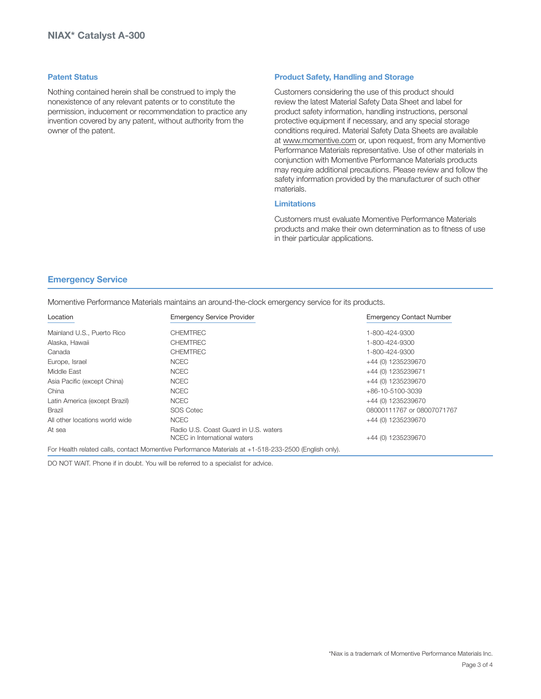## **Patent Status**

Nothing contained herein shall be construed to imply the nonexistence of any relevant patents or to constitute the permission, inducement or recommendation to practice any invention covered by any patent, without authority from the owner of the patent.

# **Product Safety, Handling and Storage**

Customers considering the use of this product should review the latest Material Safety Data Sheet and label for product safety information, handling instructions, personal protective equipment if necessary, and any special storage conditions required. Material Safety Data Sheets are available at www.momentive.com or, upon request, from any Momentive Performance Materials representative. Use of other materials in conjunction with Momentive Performance Materials products may require additional precautions. Please review and follow the safety information provided by the manufacturer of such other materials.

# **Limitations**

Customers must evaluate Momentive Performance Materials products and make their own determination as to fitness of use in their particular applications.

# **Emergency Service**

Momentive Performance Materials maintains an around-the-clock emergency service for its products.

| Location                       | <b>Emergency Service Provider</b>                                                                    | <b>Emergency Contact Number</b> |
|--------------------------------|------------------------------------------------------------------------------------------------------|---------------------------------|
| Mainland U.S., Puerto Rico     | <b>CHEMTREC</b>                                                                                      | 1-800-424-9300                  |
| Alaska, Hawaii                 | <b>CHEMTREC</b>                                                                                      | 1-800-424-9300                  |
| Canada                         | <b>CHEMTREC</b>                                                                                      | 1-800-424-9300                  |
| Europe, Israel                 | <b>NCEC</b>                                                                                          | +44 (0) 1235239670              |
| Middle East                    | <b>NCEC</b>                                                                                          | +44 (0) 1235239671              |
| Asia Pacific (except China)    | <b>NCEC</b>                                                                                          | +44 (0) 1235239670              |
| China                          | <b>NCEC</b>                                                                                          | +86-10-5100-3039                |
| Latin America (except Brazil)  | <b>NCEC</b>                                                                                          | +44 (0) 1235239670              |
| <b>Brazil</b>                  | <b>SOS Cotec</b>                                                                                     | 08000111767 or 08007071767      |
| All other locations world wide | <b>NCEC</b>                                                                                          | +44 (0) 1235239670              |
| At sea                         | Radio U.S. Coast Guard in U.S. waters<br>NCEC in International waters                                | +44 (0) 1235239670              |
|                                | For Health related calls, contact Momentive Performance Materials at +1-518-233-2500 (English only). |                                 |

DO NOT WAIT. Phone if in doubt. You will be referred to a specialist for advice.